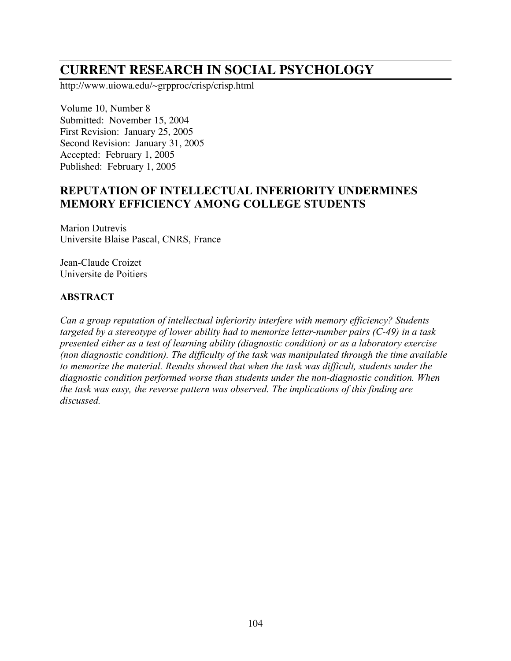# **CURRENT RESEARCH IN SOCIAL PSYCHOLOGY**

http://www.uiowa.edu/~grpproc/crisp/crisp.html

Volume 10, Number 8 Submitted: November 15, 2004 First Revision: January 25, 2005 Second Revision: January 31, 2005 Accepted: February 1, 2005 Published: February 1, 2005

## **REPUTATION OF INTELLECTUAL INFERIORITY UNDERMINES MEMORY EFFICIENCY AMONG COLLEGE STUDENTS**

Marion Dutrevis Universite Blaise Pascal, CNRS, France

Jean-Claude Croizet Universite de Poitiers

## **ABSTRACT**

*Can a group reputation of intellectual inferiority interfere with memory efficiency? Students targeted by a stereotype of lower ability had to memorize letter-number pairs (C-49) in a task presented either as a test of learning ability (diagnostic condition) or as a laboratory exercise (non diagnostic condition). The difficulty of the task was manipulated through the time available to memorize the material. Results showed that when the task was difficult, students under the diagnostic condition performed worse than students under the non-diagnostic condition. When the task was easy, the reverse pattern was observed. The implications of this finding are discussed.*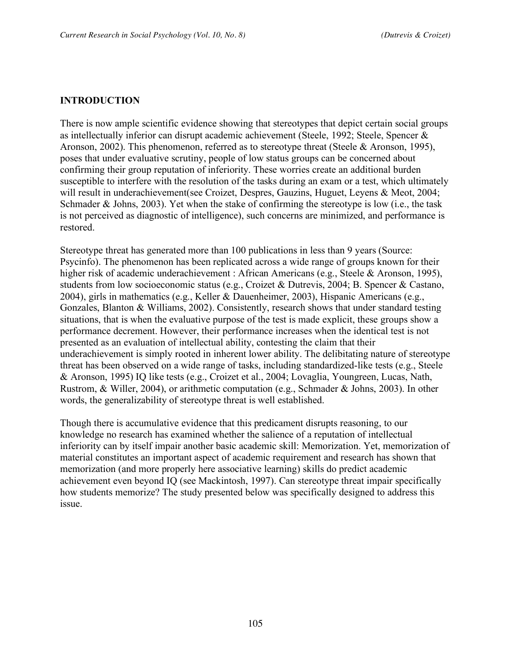## **INTRODUCTION**

There is now ample scientific evidence showing that stereotypes that depict certain social groups as intellectually inferior can disrupt academic achievement (Steele, 1992; Steele, Spencer & Aronson, 2002). This phenomenon, referred as to stereotype threat (Steele & Aronson, 1995), poses that under evaluative scrutiny, people of low status groups can be concerned about confirming their group reputation of inferiority. These worries create an additional burden susceptible to interfere with the resolution of the tasks during an exam or a test, which ultimately will result in underachievement(see Croizet, Despres, Gauzins, Huguet, Leyens & Meot, 2004; Schmader & Johns, 2003). Yet when the stake of confirming the stereotype is low (i.e., the task is not perceived as diagnostic of intelligence), such concerns are minimized, and performance is restored.

Stereotype threat has generated more than 100 publications in less than 9 years (Source: Psycinfo). The phenomenon has been replicated across a wide range of groups known for their higher risk of academic underachievement : African Americans (e.g., Steele & Aronson, 1995), students from low socioeconomic status (e.g., Croizet & Dutrevis, 2004; B. Spencer & Castano, 2004), girls in mathematics (e.g., Keller & Dauenheimer, 2003), Hispanic Americans (e.g., Gonzales, Blanton & Williams, 2002). Consistently, research shows that under standard testing situations, that is when the evaluative purpose of the test is made explicit, these groups show a performance decrement. However, their performance increases when the identical test is not presented as an evaluation of intellectual ability, contesting the claim that their underachievement is simply rooted in inherent lower ability. The delibitating nature of stereotype threat has been observed on a wide range of tasks, including standardized-like tests (e.g., Steele & Aronson, 1995) IQ like tests (e.g., Croizet et al., 2004; Lovaglia, Youngreen, Lucas, Nath, Rustrom, & Willer, 2004), or arithmetic computation (e.g., Schmader & Johns, 2003). In other words, the generalizability of stereotype threat is well established.

Though there is accumulative evidence that this predicament disrupts reasoning, to our knowledge no research has examined whether the salience of a reputation of intellectual inferiority can by itself impair another basic academic skill: Memorization. Yet, memorization of material constitutes an important aspect of academic requirement and research has shown that memorization (and more properly here associative learning) skills do predict academic achievement even beyond IQ (see Mackintosh, 1997). Can stereotype threat impair specifically how students memorize? The study presented below was specifically designed to address this issue.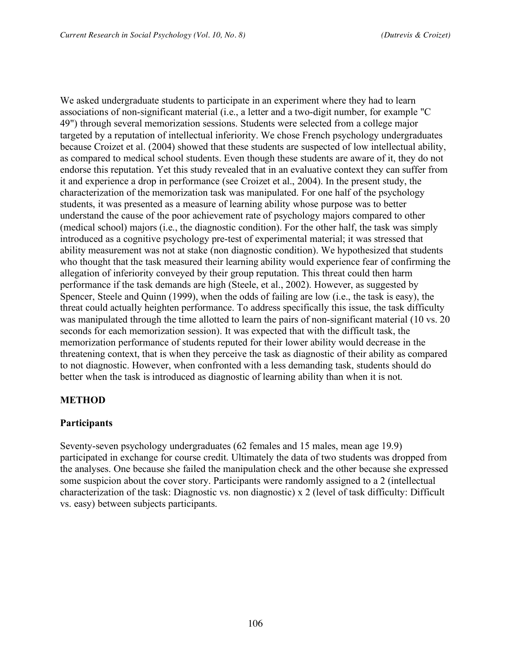We asked undergraduate students to participate in an experiment where they had to learn associations of non-significant material (i.e., a letter and a two-digit number, for example "C 49") through several memorization sessions. Students were selected from a college major targeted by a reputation of intellectual inferiority. We chose French psychology undergraduates because Croizet et al. (2004) showed that these students are suspected of low intellectual ability, as compared to medical school students. Even though these students are aware of it, they do not endorse this reputation. Yet this study revealed that in an evaluative context they can suffer from it and experience a drop in performance (see Croizet et al., 2004). In the present study, the characterization of the memorization task was manipulated. For one half of the psychology students, it was presented as a measure of learning ability whose purpose was to better understand the cause of the poor achievement rate of psychology majors compared to other (medical school) majors (i.e., the diagnostic condition). For the other half, the task was simply introduced as a cognitive psychology pre-test of experimental material; it was stressed that ability measurement was not at stake (non diagnostic condition). We hypothesized that students who thought that the task measured their learning ability would experience fear of confirming the allegation of inferiority conveyed by their group reputation. This threat could then harm performance if the task demands are high (Steele, et al., 2002). However, as suggested by Spencer, Steele and Quinn (1999), when the odds of failing are low (i.e., the task is easy), the threat could actually heighten performance. To address specifically this issue, the task difficulty was manipulated through the time allotted to learn the pairs of non-significant material (10 vs. 20) seconds for each memorization session). It was expected that with the difficult task, the memorization performance of students reputed for their lower ability would decrease in the threatening context, that is when they perceive the task as diagnostic of their ability as compared to not diagnostic. However, when confronted with a less demanding task, students should do better when the task is introduced as diagnostic of learning ability than when it is not.

## **METHOD**

#### **Participants**

Seventy-seven psychology undergraduates (62 females and 15 males, mean age 19.9) participated in exchange for course credit. Ultimately the data of two students was dropped from the analyses. One because she failed the manipulation check and the other because she expressed some suspicion about the cover story. Participants were randomly assigned to a 2 (intellectual characterization of the task: Diagnostic vs. non diagnostic) x 2 (level of task difficulty: Difficult vs. easy) between subjects participants.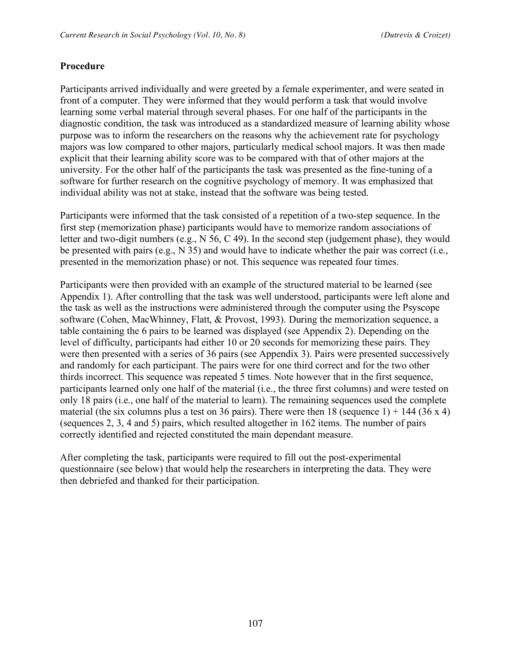## **Procedure**

Participants arrived individually and were greeted by a female experimenter, and were seated in front of a computer. They were informed that they would perform a task that would involve learning some verbal material through several phases. For one half of the participants in the diagnostic condition, the task was introduced as a standardized measure of learning ability whose purpose was to inform the researchers on the reasons why the achievement rate for psychology majors was low compared to other majors, particularly medical school majors. It was then made explicit that their learning ability score was to be compared with that of other majors at the university. For the other half of the participants the task was presented as the fine-tuning of a software for further research on the cognitive psychology of memory. It was emphasized that individual ability was not at stake, instead that the software was being tested.

Participants were informed that the task consisted of a repetition of a two-step sequence. In the first step (memorization phase) participants would have to memorize random associations of letter and two-digit numbers (e.g., N 56, C 49). In the second step (judgement phase), they would be presented with pairs (e.g., N 35) and would have to indicate whether the pair was correct (i.e., presented in the memorization phase) or not. This sequence was repeated four times.

Participants were then provided with an example of the structured material to be learned (see Appendix 1). After controlling that the task was well understood, participants were left alone and the task as well as the instructions were administered through the computer using the Psyscope software (Cohen, MacWhinney, Flatt, & Provost, 1993). During the memorization sequence, a table containing the 6 pairs to be learned was displayed (see Appendix 2). Depending on the level of difficulty, participants had either 10 or 20 seconds for memorizing these pairs. They were then presented with a series of 36 pairs (see Appendix 3). Pairs were presented successively and randomly for each participant. The pairs were for one third correct and for the two other thirds incorrect. This sequence was repeated 5 times. Note however that in the first sequence, participants learned only one half of the material (i.e., the three first columns) and were tested on only 18 pairs (i.e., one half of the material to learn). The remaining sequences used the complete material (the six columns plus a test on 36 pairs). There were then 18 (sequence  $1) + 144 (36 \times 4)$ (sequences 2, 3, 4 and 5) pairs, which resulted altogether in 162 items. The number of pairs correctly identified and rejected constituted the main dependant measure.

After completing the task, participants were required to fill out the post-experimental questionnaire (see below) that would help the researchers in interpreting the data. They were then debriefed and thanked for their participation.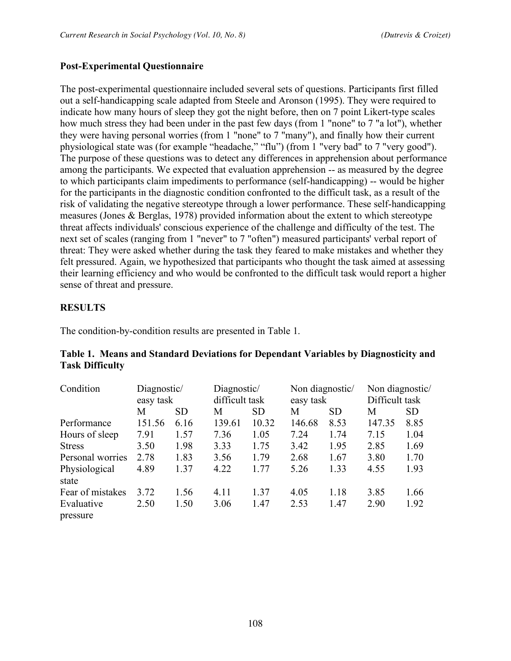## **Post-Experimental Questionnaire**

The post-experimental questionnaire included several sets of questions. Participants first filled out a self-handicapping scale adapted from Steele and Aronson (1995). They were required to indicate how many hours of sleep they got the night before, then on 7 point Likert-type scales how much stress they had been under in the past few days (from 1 "none" to 7 "a lot"), whether they were having personal worries (from 1 "none" to 7 "many"), and finally how their current physiological state was (for example "headache," "flu") (from 1 "very bad" to 7 "very good"). The purpose of these questions was to detect any differences in apprehension about performance among the participants. We expected that evaluation apprehension -- as measured by the degree to which participants claim impediments to performance (self-handicapping) -- would be higher for the participants in the diagnostic condition confronted to the difficult task, as a result of the risk of validating the negative stereotype through a lower performance. These self-handicapping measures (Jones & Berglas, 1978) provided information about the extent to which stereotype threat affects individuals' conscious experience of the challenge and difficulty of the test. The next set of scales (ranging from 1 "never" to 7 "often") measured participants' verbal report of threat: They were asked whether during the task they feared to make mistakes and whether they felt pressured. Again, we hypothesized that participants who thought the task aimed at assessing their learning efficiency and who would be confronted to the difficult task would report a higher sense of threat and pressure.

## **RESULTS**

The condition-by-condition results are presented in Table 1.

#### **Table 1. Means and Standard Deviations for Dependant Variables by Diagnosticity and Task Difficulty**

| Condition              | Diagnostic/<br>easy task |           | Diagnostic/<br>difficult task |           | Non diagnostic/<br>easy task |      | Non diagnostic/<br>Difficult task |      |
|------------------------|--------------------------|-----------|-------------------------------|-----------|------------------------------|------|-----------------------------------|------|
|                        | М                        | <b>SD</b> | M                             | <b>SD</b> | M                            | SD.  | M                                 | SD.  |
| Performance            | 151.56                   | 6.16      | 139.61                        | 10.32     | 146.68                       | 8.53 | 147.35                            | 8.85 |
| Hours of sleep         | 7.91                     | 1.57      | 7.36                          | 1.05      | 7.24                         | 1.74 | 7.15                              | 1.04 |
| <b>Stress</b>          | 3.50                     | 1.98      | 3.33                          | 1.75      | 3.42                         | 1.95 | 2.85                              | 1.69 |
| Personal worries       | 2.78                     | 1.83      | 3.56                          | 1.79      | 2.68                         | 1.67 | 3.80                              | 1.70 |
| Physiological<br>state | 4.89                     | 1.37      | 4.22                          | 1.77      | 5.26                         | 1.33 | 4.55                              | 1.93 |
| Fear of mistakes       | 3.72                     | 1.56      | 4.11                          | 1.37      | 4.05                         | 1.18 | 3.85                              | 1.66 |
| Evaluative<br>pressure | 2.50                     | 1.50      | 3.06                          | 1.47      | 2.53                         | 1.47 | 2.90                              | 1.92 |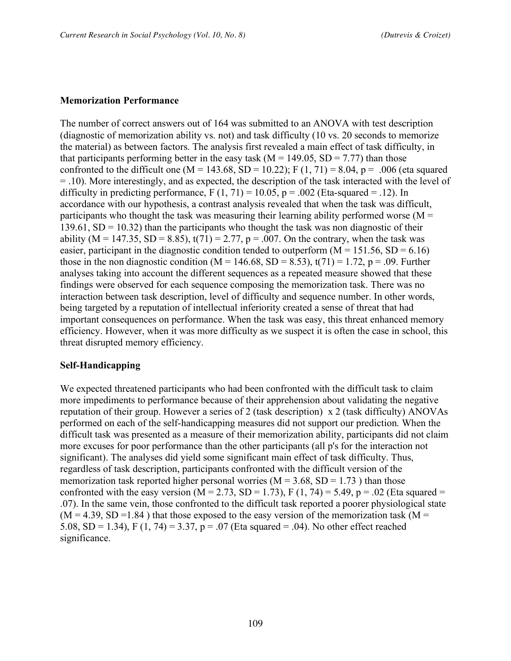#### **Memorization Performance**

The number of correct answers out of 164 was submitted to an ANOVA with test description (diagnostic of memorization ability vs. not) and task difficulty (10 vs. 20 seconds to memorize the material) as between factors. The analysis first revealed a main effect of task difficulty, in that participants performing better in the easy task ( $M = 149.05$ ,  $SD = 7.77$ ) than those confronted to the difficult one (M = 143.68, SD = 10.22); F (1, 71) = 8.04, p = .006 (eta squared = .10). More interestingly, and as expected, the description of the task interacted with the level of difficulty in predicting performance,  $F(1, 71) = 10.05$ ,  $p = .002$  (Eta-squared = .12). In accordance with our hypothesis, a contrast analysis revealed that when the task was difficult, participants who thought the task was measuring their learning ability performed worse ( $M =$ 139.61,  $SD = 10.32$ ) than the participants who thought the task was non diagnostic of their ability (M = 147.35, SD = 8.85),  $t(71) = 2.77$ ,  $p = .007$ . On the contrary, when the task was easier, participant in the diagnostic condition tended to outperform  $(M = 151.56, SD = 6.16)$ those in the non diagnostic condition (M = 146.68, SD = 8.53),  $t(71) = 1.72$ , p = .09. Further analyses taking into account the different sequences as a repeated measure showed that these findings were observed for each sequence composing the memorization task. There was no interaction between task description, level of difficulty and sequence number. In other words, being targeted by a reputation of intellectual inferiority created a sense of threat that had important consequences on performance. When the task was easy, this threat enhanced memory efficiency. However, when it was more difficulty as we suspect it is often the case in school, this threat disrupted memory efficiency.

#### **Self-Handicapping**

We expected threatened participants who had been confronted with the difficult task to claim more impediments to performance because of their apprehension about validating the negative reputation of their group. However a series of 2 (task description) x 2 (task difficulty) ANOVAs performed on each of the self-handicapping measures did not support our prediction. When the difficult task was presented as a measure of their memorization ability, participants did not claim more excuses for poor performance than the other participants (all p's for the interaction not significant). The analyses did yield some significant main effect of task difficulty. Thus, regardless of task description, participants confronted with the difficult version of the memorization task reported higher personal worries ( $M = 3.68$ ,  $SD = 1.73$ ) than those confronted with the easy version ( $M = 2.73$ ,  $SD = 1.73$ ),  $F(1, 74) = 5.49$ ,  $p = .02$  (Eta squared = .07). In the same vein, those confronted to the difficult task reported a poorer physiological state  $(M = 4.39, SD = 1.84)$  that those exposed to the easy version of the memorization task  $(M = 1.39, SD = 1.84)$ 5.08, SD = 1.34), F (1, 74) = 3.37, p = .07 (Eta squared = .04). No other effect reached significance.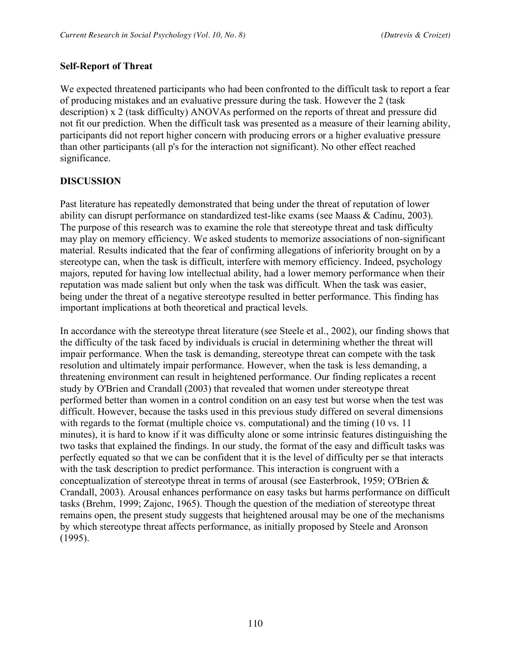## **Self-Report of Threat**

We expected threatened participants who had been confronted to the difficult task to report a fear of producing mistakes and an evaluative pressure during the task. However the 2 (task description) x 2 (task difficulty) ANOVAs performed on the reports of threat and pressure did not fit our prediction. When the difficult task was presented as a measure of their learning ability, participants did not report higher concern with producing errors or a higher evaluative pressure than other participants (all p's for the interaction not significant). No other effect reached significance.

## **DISCUSSION**

Past literature has repeatedly demonstrated that being under the threat of reputation of lower ability can disrupt performance on standardized test-like exams (see Maass & Cadinu, 2003). The purpose of this research was to examine the role that stereotype threat and task difficulty may play on memory efficiency. We asked students to memorize associations of non-significant material. Results indicated that the fear of confirming allegations of inferiority brought on by a stereotype can, when the task is difficult, interfere with memory efficiency. Indeed, psychology majors, reputed for having low intellectual ability, had a lower memory performance when their reputation was made salient but only when the task was difficult. When the task was easier, being under the threat of a negative stereotype resulted in better performance. This finding has important implications at both theoretical and practical levels.

In accordance with the stereotype threat literature (see Steele et al., 2002), our finding shows that the difficulty of the task faced by individuals is crucial in determining whether the threat will impair performance. When the task is demanding, stereotype threat can compete with the task resolution and ultimately impair performance. However, when the task is less demanding, a threatening environment can result in heightened performance. Our finding replicates a recent study by O'Brien and Crandall (2003) that revealed that women under stereotype threat performed better than women in a control condition on an easy test but worse when the test was difficult. However, because the tasks used in this previous study differed on several dimensions with regards to the format (multiple choice vs. computational) and the timing (10 vs. 11) minutes), it is hard to know if it was difficulty alone or some intrinsic features distinguishing the two tasks that explained the findings. In our study, the format of the easy and difficult tasks was perfectly equated so that we can be confident that it is the level of difficulty per se that interacts with the task description to predict performance. This interaction is congruent with a conceptualization of stereotype threat in terms of arousal (see Easterbrook, 1959; O'Brien & Crandall, 2003). Arousal enhances performance on easy tasks but harms performance on difficult tasks (Brehm, 1999; Zajonc, 1965). Though the question of the mediation of stereotype threat remains open, the present study suggests that heightened arousal may be one of the mechanisms by which stereotype threat affects performance, as initially proposed by Steele and Aronson (1995).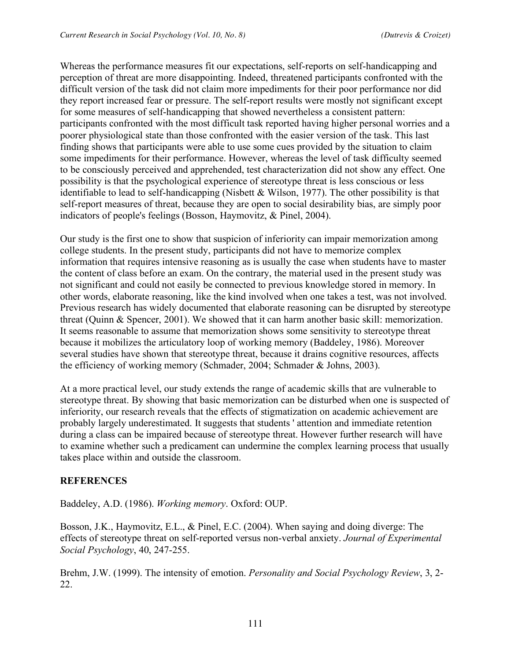Whereas the performance measures fit our expectations, self-reports on self-handicapping and perception of threat are more disappointing. Indeed, threatened participants confronted with the difficult version of the task did not claim more impediments for their poor performance nor did they report increased fear or pressure. The self-report results were mostly not significant except for some measures of self-handicapping that showed nevertheless a consistent pattern: participants confronted with the most difficult task reported having higher personal worries and a poorer physiological state than those confronted with the easier version of the task. This last finding shows that participants were able to use some cues provided by the situation to claim some impediments for their performance. However, whereas the level of task difficulty seemed to be consciously perceived and apprehended, test characterization did not show any effect. One possibility is that the psychological experience of stereotype threat is less conscious or less identifiable to lead to self-handicapping (Nisbett & Wilson, 1977). The other possibility is that self-report measures of threat, because they are open to social desirability bias, are simply poor indicators of people's feelings (Bosson, Haymovitz, & Pinel, 2004).

Our study is the first one to show that suspicion of inferiority can impair memorization among college students. In the present study, participants did not have to memorize complex information that requires intensive reasoning as is usually the case when students have to master the content of class before an exam. On the contrary, the material used in the present study was not significant and could not easily be connected to previous knowledge stored in memory. In other words, elaborate reasoning, like the kind involved when one takes a test, was not involved. Previous research has widely documented that elaborate reasoning can be disrupted by stereotype threat (Quinn & Spencer, 2001). We showed that it can harm another basic skill: memorization. It seems reasonable to assume that memorization shows some sensitivity to stereotype threat because it mobilizes the articulatory loop of working memory (Baddeley, 1986). Moreover several studies have shown that stereotype threat, because it drains cognitive resources, affects the efficiency of working memory (Schmader, 2004; Schmader & Johns, 2003).

At a more practical level, our study extends the range of academic skills that are vulnerable to stereotype threat. By showing that basic memorization can be disturbed when one is suspected of inferiority, our research reveals that the effects of stigmatization on academic achievement are probably largely underestimated. It suggests that students ' attention and immediate retention during a class can be impaired because of stereotype threat. However further research will have to examine whether such a predicament can undermine the complex learning process that usually takes place within and outside the classroom.

## **REFERENCES**

Baddeley, A.D. (1986). *Working memory*. Oxford: OUP.

Bosson, J.K., Haymovitz, E.L., & Pinel, E.C. (2004). When saying and doing diverge: The effects of stereotype threat on self-reported versus non-verbal anxiety. *Journal of Experimental Social Psychology*, 40, 247-255.

Brehm, J.W. (1999). The intensity of emotion. *Personality and Social Psychology Review*, 3, 2- 22.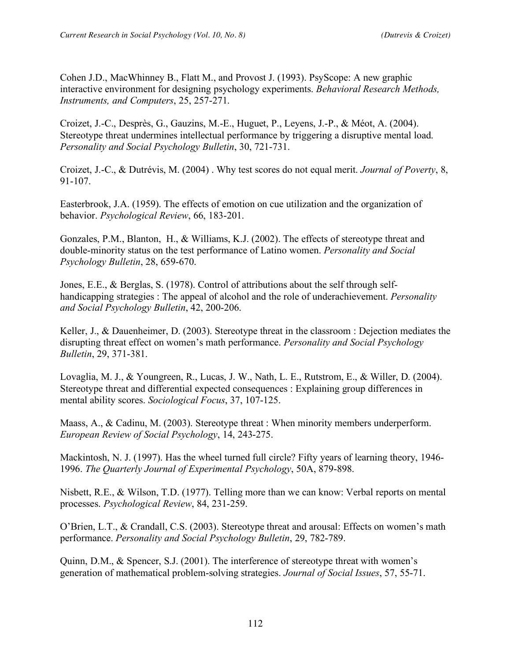Cohen J.D., MacWhinney B., Flatt M., and Provost J. (1993). PsyScope: A new graphic interactive environment for designing psychology experiments. *Behavioral Research Methods, Instruments, and Computers*, 25, 257-271.

Croizet, J.-C., Desprès, G., Gauzins, M.-E., Huguet, P., Leyens, J.-P., & Méot, A. (2004). Stereotype threat undermines intellectual performance by triggering a disruptive mental load. *Personality and Social Psychology Bulletin*, 30, 721-731.

Croizet, J.-C., & Dutrévis, M. (2004) . Why test scores do not equal merit. *Journal of Poverty*, 8, 91-107.

Easterbrook, J.A. (1959). The effects of emotion on cue utilization and the organization of behavior. *Psychological Review*, 66, 183-201.

Gonzales, P.M., Blanton, H., & Williams, K.J. (2002). The effects of stereotype threat and double-minority status on the test performance of Latino women. *Personality and Social Psychology Bulletin*, 28, 659-670.

Jones, E.E., & Berglas, S. (1978). Control of attributions about the self through selfhandicapping strategies : The appeal of alcohol and the role of underachievement. *Personality and Social Psychology Bulletin*, 42, 200-206.

Keller, J., & Dauenheimer, D. (2003). Stereotype threat in the classroom : Dejection mediates the disrupting threat effect on women's math performance. *Personality and Social Psychology Bulletin*, 29, 371-381.

Lovaglia, M. J., & Youngreen, R., Lucas, J. W., Nath, L. E., Rutstrom, E., & Willer, D. (2004). Stereotype threat and differential expected consequences : Explaining group differences in mental ability scores. *Sociological Focus*, 37, 107-125.

Maass, A., & Cadinu, M. (2003). Stereotype threat : When minority members underperform. *European Review of Social Psychology*, 14, 243-275.

Mackintosh, N. J. (1997). Has the wheel turned full circle? Fifty years of learning theory, 1946- 1996. *The Quarterly Journal of Experimental Psychology*, 50A, 879-898.

Nisbett, R.E., & Wilson, T.D. (1977). Telling more than we can know: Verbal reports on mental processes. *Psychological Review*, 84, 231-259.

O'Brien, L.T., & Crandall, C.S. (2003). Stereotype threat and arousal: Effects on women's math performance. *Personality and Social Psychology Bulletin*, 29, 782-789.

Quinn, D.M., & Spencer, S.J. (2001). The interference of stereotype threat with women's generation of mathematical problem-solving strategies. *Journal of Social Issues*, 57, 55-71.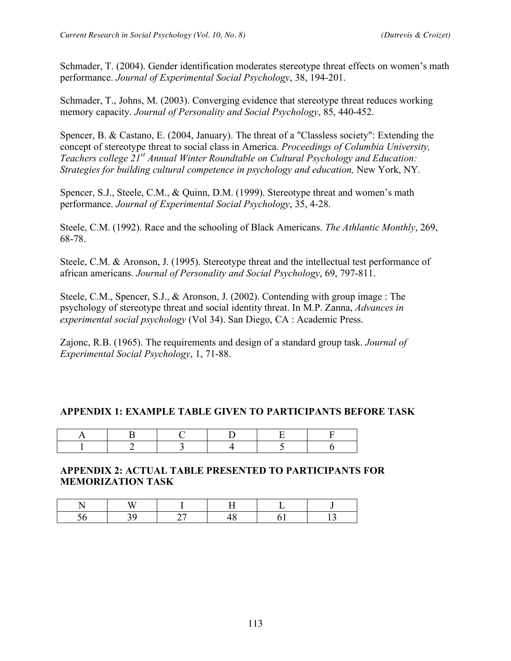Schmader, T. (2004). Gender identification moderates stereotype threat effects on women's math performance. *Journal of Experimental Social Psychology*, 38, 194-201.

Schmader, T., Johns, M. (2003). Converging evidence that stereotype threat reduces working memory capacity. *Journal of Personality and Social Psychology*, 85, 440-452.

Spencer, B. & Castano, E. (2004, January). The threat of a "Classless society": Extending the concept of stereotype threat to social class in America. *Proceedings of Columbia University, Teachers college 21st Annual Winter Roundtable on Cultural Psychology and Education: Strategies for building cultural competence in psychology and education,* New York, NY*.*

Spencer, S.J., Steele, C.M., & Quinn, D.M. (1999). Stereotype threat and women's math performance. *Journal of Experimental Social Psychology*, 35, 4-28.

Steele, C.M. (1992). Race and the schooling of Black Americans. *The Athlantic Monthly*, 269, 68-78.

Steele, C.M. & Aronson, J. (1995). Stereotype threat and the intellectual test performance of african americans. *Journal of Personality and Social Psychology*, 69, 797-811.

Steele, C.M., Spencer, S.J., & Aronson, J. (2002). Contending with group image : The psychology of stereotype threat and social identity threat. In M.P. Zanna, *Advances in experimental social psychology* (Vol 34). San Diego, CA : Academic Press.

Zajonc, R.B. (1965). The requirements and design of a standard group task. *Journal of Experimental Social Psychology*, 1, 71-88.

## **APPENDIX 1: EXAMPLE TABLE GIVEN TO PARTICIPANTS BEFORE TASK**

## **APPENDIX 2: ACTUAL TABLE PRESENTED TO PARTICIPANTS FOR MEMORIZATION TASK**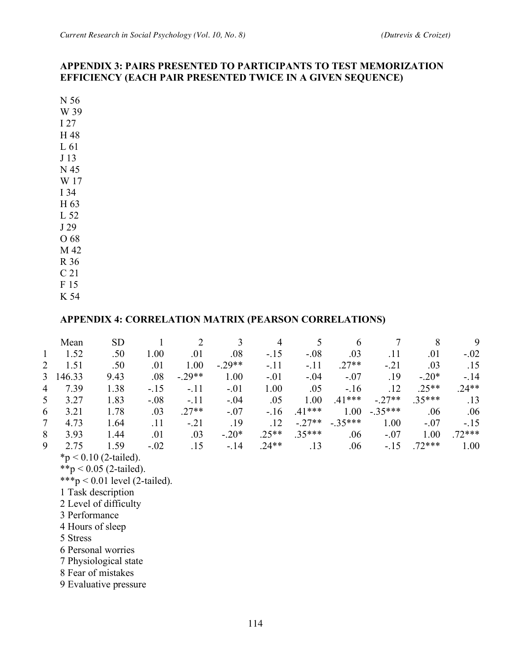## **APPENDIX 3: PAIRS PRESENTED TO PARTICIPANTS TO TEST MEMORIZATION EFFICIENCY (EACH PAIR PRESENTED TWICE IN A GIVEN SEQUENCE)**

N 56 W 39 I 27 H 48 L 61 J 13 N 45 W 17 I 34 H 63 L 52 J 29 O 68 M 42 R 36 C 21 F 15 K 54

## **APPENDIX 4: CORRELATION MATRIX (PEARSON CORRELATIONS)**

|                | Mean     | <b>SD</b>                |        |         |          | 4       |          | 6         |           | 8        | 9        |
|----------------|----------|--------------------------|--------|---------|----------|---------|----------|-----------|-----------|----------|----------|
|                |          |                          |        |         |          |         |          |           |           |          |          |
| $\mathbf{1}$   | 1.52     | .50                      | 1.00   | .01     | .08      | $-15$   | $-.08$   | .03       | .11       | .01      | $-.02$   |
| 2              | 1.51     | .50                      | .01    | 1.00    | $-.29**$ | $-.11$  | $-.11$   | $.27**$   | $-21$     | .03      | .15      |
|                | 3 146.33 | 9.43                     | .08    | $-29**$ | 1.00     | $-.01$  | $-.04$   | $-.07$    | .19       | $-.20*$  | $-14$    |
| $\overline{4}$ | 7.39     | 1.38                     | $-.15$ | $-.11$  | $-.01$   | 1.00    | .05      | $-16$     | .12       | $.25**$  | $.24**$  |
| 5              | 3.27     | 1.83                     | $-.08$ | $-.11$  | $-.04$   | .05     | 1.00     | $.41***$  | $-.27**$  | $.35***$ | .13      |
| 6              | 3.21     | 1.78                     | .03    | $.27**$ | $-.07$   | $-.16$  | $.41***$ | 1.00      | $-.35***$ | .06      | .06      |
| 7              | 4.73     | 1.64                     | .11    | $-.21$  | .19      | .12     | $-.27**$ | $-.35***$ | 1.00      | $-.07$   | $-15$    |
| 8              | 3.93     | 1.44                     | .01    | .03     | $-.20*$  | $.25**$ | $.35***$ | .06       | $-.07$    | 1.00     | $.72***$ |
| 9              | 2.75     | 1.59                     | $-.02$ | .15     | $-.14$   | $.24**$ | .13      | .06       | $-.15$    | $.72***$ | 1.00     |
|                |          | $*_p$ < 0.10 (2-tailed). |        |         |          |         |          |           |           |          |          |

- \*\*p <  $0.05$  (2-tailed).
- \*\*\*p < 0.01 level (2-tailed).
- 1 Task description
- 2 Level of difficulty
- 3 Performance
- 4 Hours of sleep
- 5 Stress
- 6 Personal worries
- 7 Physiological state
- 8 Fear of mistakes
- 9 Evaluative pressure